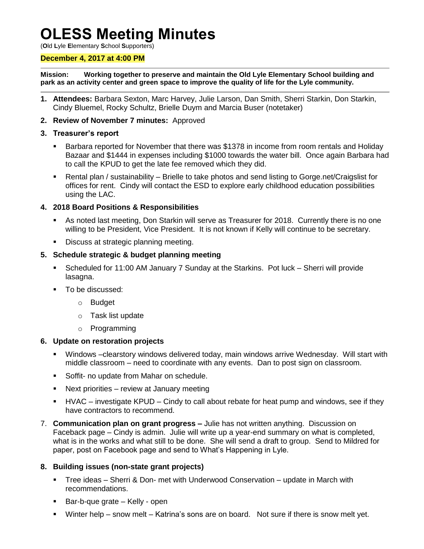# **OLESS Meeting Minutes**

(**O**ld **L**yle **E**lementary **S**chool **S**upporters)

#### **December 4, 2017 at 4:00 PM**

**Mission: Working together to preserve and maintain the Old Lyle Elementary School building and park as an activity center and green space to improve the quality of life for the Lyle community.**

- **1. Attendees:** Barbara Sexton, Marc Harvey, Julie Larson, Dan Smith, Sherri Starkin, Don Starkin, Cindy Bluemel, Rocky Schultz, Brielle Duym and Marcia Buser (notetaker)
- **2. Review of November 7 minutes:** Approved

#### **3. Treasurer's report**

- **Barbara reported for November that there was \$1378 in income from room rentals and Holiday** Bazaar and \$1444 in expenses including \$1000 towards the water bill. Once again Barbara had to call the KPUD to get the late fee removed which they did.
- Rental plan / sustainability Brielle to take photos and send listing to Gorge.net/Craigslist for offices for rent. Cindy will contact the ESD to explore early childhood education possibilities using the LAC.

## **4. 2018 Board Positions & Responsibilities**

- As noted last meeting, Don Starkin will serve as Treasurer for 2018. Currently there is no one willing to be President, Vice President. It is not known if Kelly will continue to be secretary.
- Discuss at strategic planning meeting.

## **5. Schedule strategic & budget planning meeting**

- Scheduled for 11:00 AM January 7 Sunday at the Starkins. Pot luck Sherri will provide lasagna.
- **To be discussed:** 
	- o Budget
	- o Task list update
	- o Programming

#### **6. Update on restoration projects**

- Windows –clearstory windows delivered today, main windows arrive Wednesday. Will start with middle classroom – need to coordinate with any events. Dan to post sign on classroom.
- Soffit- no update from Mahar on schedule.
- Next priorities review at January meeting
- HVAC investigate KPUD Cindy to call about rebate for heat pump and windows, see if they have contractors to recommend.
- 7. **Communication plan on grant progress –** Julie has not written anything. Discussion on Faceback page – Cindy is admin. Julie will write up a year-end summary on what is completed, what is in the works and what still to be done. She will send a draft to group. Send to Mildred for paper, post on Facebook page and send to What's Happening in Lyle.

## **8. Building issues (non-state grant projects)**

- Tree ideas Sherri & Don- met with Underwood Conservation update in March with recommendations.
- Bar-b-que grate Kelly open
- Winter help snow melt Katrina's sons are on board. Not sure if there is snow melt yet.